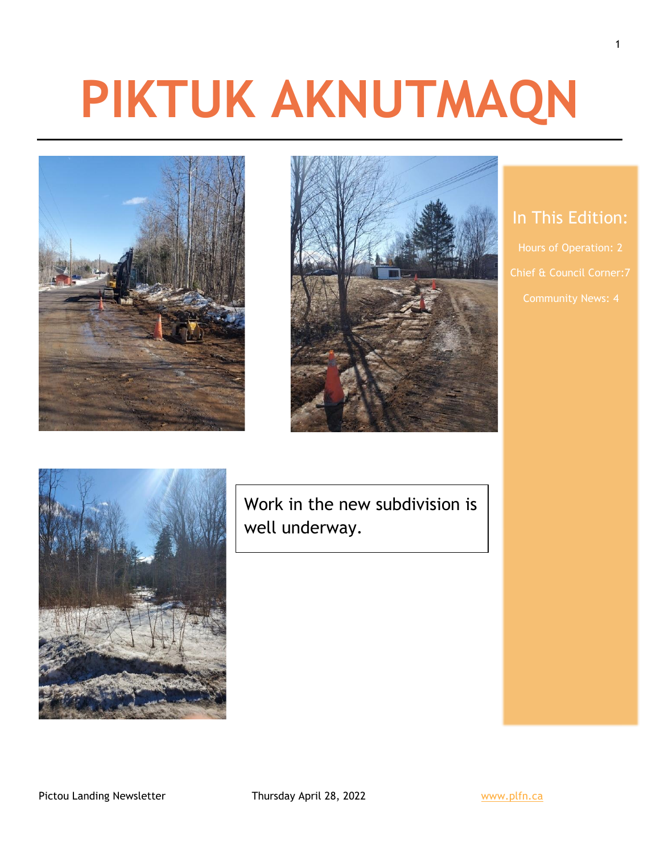# **PIKTUK AKNUTMAQN**





## In This Edition:

Hours of Operation: 2



Work in the new subdivision is well underway.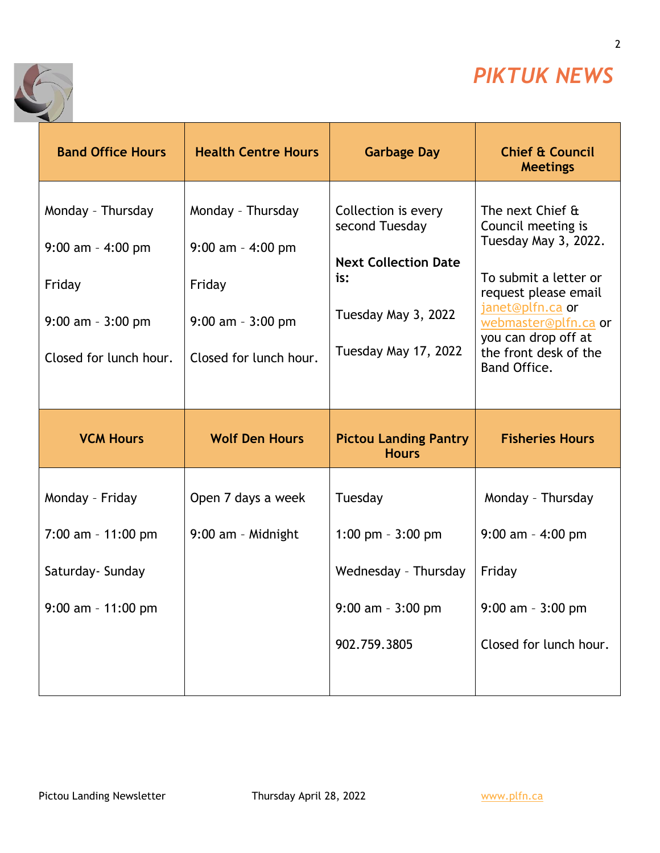

2

٦



| <b>Band Office Hours</b>                                                                              | <b>Health Centre Hours</b>                                                                              | <b>Garbage Day</b>                                                                                                         | <b>Chief &amp; Council</b><br><b>Meetings</b>                                                                                                                                                                               |
|-------------------------------------------------------------------------------------------------------|---------------------------------------------------------------------------------------------------------|----------------------------------------------------------------------------------------------------------------------------|-----------------------------------------------------------------------------------------------------------------------------------------------------------------------------------------------------------------------------|
| Monday - Thursday<br>$9:00$ am - 4:00 pm<br>Friday<br>$9:00$ am - $3:00$ pm<br>Closed for lunch hour. | Monday - Thursday<br>$9:00$ am $-$ 4:00 pm<br>Friday<br>$9:00$ am - $3:00$ pm<br>Closed for lunch hour. | Collection is every<br>second Tuesday<br><b>Next Collection Date</b><br>is:<br>Tuesday May 3, 2022<br>Tuesday May 17, 2022 | The next Chief &<br>Council meeting is<br>Tuesday May 3, 2022.<br>To submit a letter or<br>request please email<br>janet@plfn.ca or<br>webmaster@plfn.ca or<br>you can drop off at<br>the front desk of the<br>Band Office. |
|                                                                                                       |                                                                                                         |                                                                                                                            |                                                                                                                                                                                                                             |
| <b>VCM Hours</b>                                                                                      | <b>Wolf Den Hours</b>                                                                                   | <b>Pictou Landing Pantry</b><br><b>Hours</b>                                                                               | <b>Fisheries Hours</b>                                                                                                                                                                                                      |
| Monday - Friday                                                                                       | Open 7 days a week                                                                                      | Tuesday                                                                                                                    | Monday - Thursday                                                                                                                                                                                                           |
| $7:00$ am - 11:00 pm                                                                                  | 9:00 am - Midnight                                                                                      | 1:00 pm $-3:00$ pm                                                                                                         | $9:00$ am - 4:00 pm                                                                                                                                                                                                         |
| Saturday- Sunday                                                                                      |                                                                                                         | Wednesday - Thursday                                                                                                       | Friday                                                                                                                                                                                                                      |
| $9:00$ am - 11:00 pm                                                                                  |                                                                                                         | $9:00$ am - $3:00$ pm                                                                                                      | $9:00$ am - $3:00$ pm                                                                                                                                                                                                       |
|                                                                                                       |                                                                                                         | 902.759.3805                                                                                                               | Closed for lunch hour.                                                                                                                                                                                                      |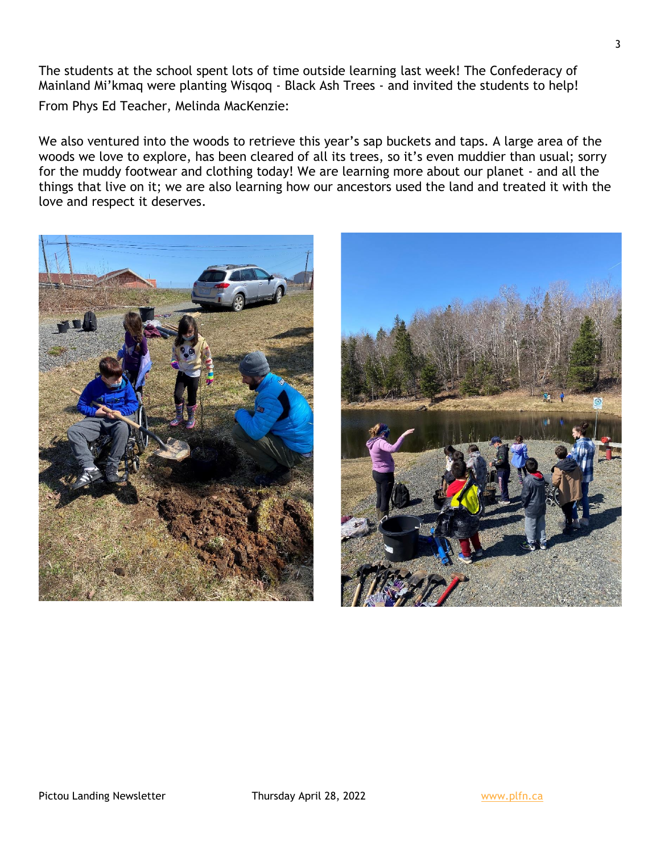The students at the school spent lots of time outside learning last week! The Confederacy of Mainland Mi'kmaq were planting Wisqoq - Black Ash Trees - and invited the students to help! From Phys Ed Teacher, Melinda MacKenzie:

We also ventured into the woods to retrieve this year's sap buckets and taps. A large area of the woods we love to explore, has been cleared of all its trees, so it's even muddier than usual; sorry for the muddy footwear and clothing today! We are learning more about our planet - and all the things that live on it; we are also learning how our ancestors used the land and treated it with the love and respect it deserves.



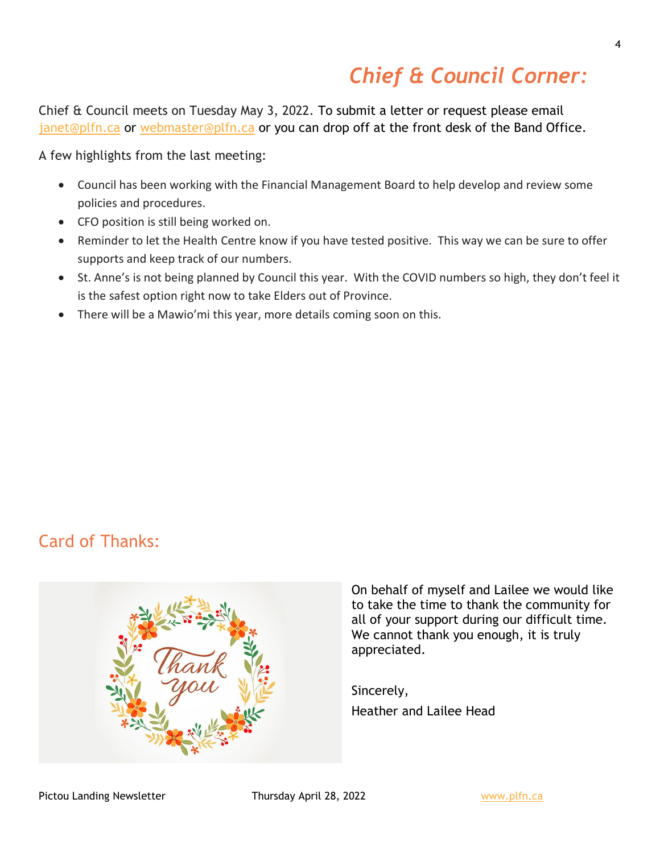## *Chief & Council Corner:*

Chief & Council meets on Tuesday May 3, 2022. To submit a letter or request please email [janet@plfn.ca](mailto:janet@plfn.ca) or [webmaster@plfn.ca](mailto:webmaster@plfn.ca) or you can drop off at the front desk of the Band Office.

A few highlights from the last meeting:

- Council has been working with the Financial Management Board to help develop and review some policies and procedures.
- CFO position is still being worked on.
- Reminder to let the Health Centre know if you have tested positive. This way we can be sure to offer supports and keep track of our numbers.
- St. Anne's is not being planned by Council this year. With the COVID numbers so high, they don't feel it is the safest option right now to take Elders out of Province.
- There will be a Mawio'mi this year, more details coming soon on this.

## Card of Thanks:



On behalf of myself and Lailee we would like to take the time to thank the community for all of your support during our difficult time. We cannot thank you enough, it is truly appreciated.

Sincerely, Heather and Lailee Head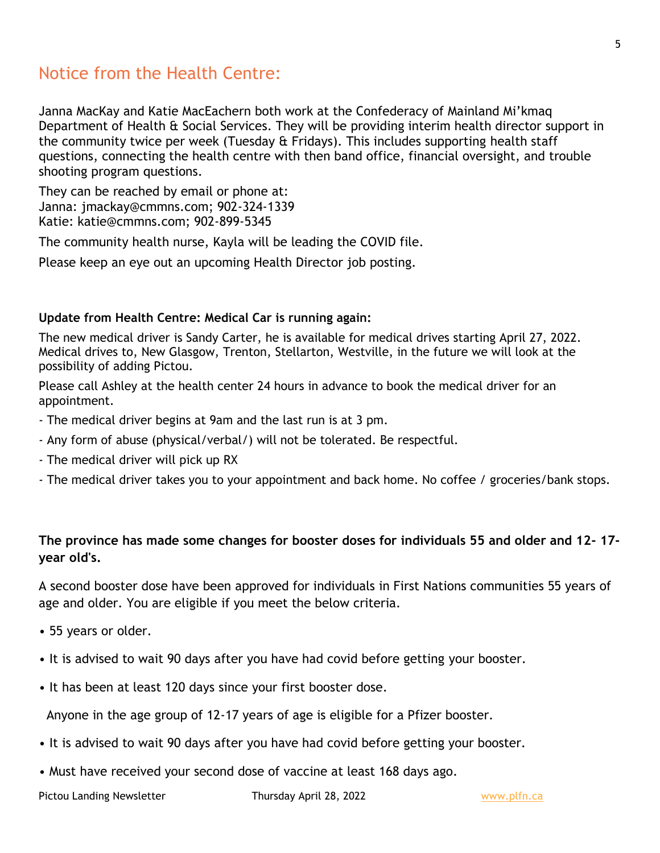## Notice from the Health Centre:

Janna MacKay and Katie MacEachern both work at the Confederacy of Mainland Mi'kmaq Department of Health & Social Services. They will be providing interim health director support in the community twice per week (Tuesday & Fridays). This includes supporting health staff questions, connecting the health centre with then band office, financial oversight, and trouble shooting program questions.

They can be reached by email or phone at: Janna: jmackay@cmmns.com; 902-324-1339 Katie: katie@cmmns.com; 902-899-5345

The community health nurse, Kayla will be leading the COVID file.

Please keep an eye out an upcoming Health Director job posting.

#### **Update from Health Centre: Medical Car is running again:**

The new medical driver is Sandy Carter, he is available for medical drives starting April 27, 2022. Medical drives to, New Glasgow, Trenton, Stellarton, Westville, in the future we will look at the possibility of adding Pictou.

Please call Ashley at the health center 24 hours in advance to book the medical driver for an appointment.

- The medical driver begins at 9am and the last run is at 3 pm.
- Any form of abuse (physical/verbal/) will not be tolerated. Be respectful.
- The medical driver will pick up RX
- The medical driver takes you to your appointment and back home. No coffee / groceries/bank stops.

#### **The province has made some changes for booster doses for individuals 55 and older and 12- 17 year old's.**

A second booster dose have been approved for individuals in First Nations communities 55 years of age and older. You are eligible if you meet the below criteria.

- 55 years or older.
- It is advised to wait 90 days after you have had covid before getting your booster.
- It has been at least 120 days since your first booster dose.

Anyone in the age group of 12-17 years of age is eligible for a Pfizer booster.

- It is advised to wait 90 days after you have had covid before getting your booster.
- Must have received your second dose of vaccine at least 168 days ago.

Pictou Landing Newsletter Thursday April 28, 2022 Thursday April 28, 2022